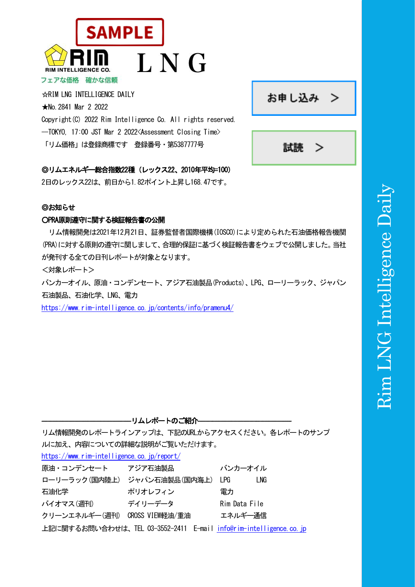

☆RIM LNG INTELLIGENCE DAILY ★No.2841 Mar 2 2022 Copyright(C) 2022 Rim Intelligence Co. All rights reserved. -TOKYO, 17:00 JST Mar 2 2022 < Assessment Closing Time> 「リム価格」は登録商標です 登録番号・第5387777号

# ◎リムエネル<del>ギー総</del>合指数22種 (レックス22、2010年平均=100)

2日のレックス22は、前日から1.82ポイント上昇し168.47です。

# ◎お知らせ

# ○PRA原則遵守に関する検証報告書の公開

リム情報開発は2021年12月21日、証券監督者国際機構(IOSCO)により定められた石油価格報告機関 (PRA)に対する原則の遵守に関しまして、合理的保証に基づく検証報告書をウェブで公開しました。当社 が発刊する全ての日刊レポートが対象となります。

<対象レポート>

バンカーオイル、原油・コンデンセート、アジア石油製品(Products)、LPG、ローリーラック、ジャパン 石油製品、石油化学、LNG、電力

<https://www.rim-intelligence.co.jp/contents/info/pramenu4/>

**--リムレポートのご紹介---**リム情報開発のレポートラインアップは、下記のURLからアクセスください。各レポートのサンプ ルに加え、内容についての詳細な説明がご覧いただけます。 <https://www.rim-intelligence.co.jp/report/> 原油・コンデンセート アジア石油製品 バンカーオイル ローリーラック(国内陸上) ジャパン石油製品(国内海上) LPG LNG 石油化学 アンチュー ポリオレフィン 雷力 バイオマス(週刊) デイリーデータ Rim Data File クリーンエネルギー(週刊) CROSS VIEW軽油/重油 エネルギー通信 上記に関するお問い合わせは、TEL 03-3552-2411 E-mail [info@rim-intelligence.co.jp](mailto:info@rim-intelligence.co.jp)

# Rim LNG Intelligence Dailym LNG Intelligence Dail

お申し込み >

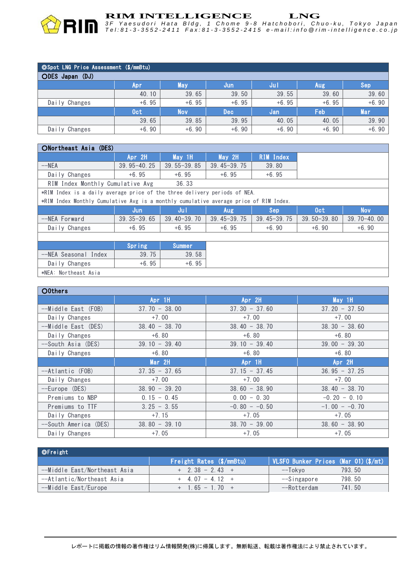

*3 F Y a e s u d o r i H a t a B l d g , 1 C h o m e 9 - 8 H a t c h o b o r i , C h u o - k u , T o k y o J a p a n* Tel:81-3-3552-2411 Fax:81-3-3552-2415 e-mail:info @rim-intelligence.co.jp

| <b>OSpot LNG Price Assessment (\$/mmBtu)</b> |         |            |            |         |            |            |  |  |  |
|----------------------------------------------|---------|------------|------------|---------|------------|------------|--|--|--|
| ODES Japan (DJ)                              |         |            |            |         |            |            |  |  |  |
|                                              | Apr     | May        | Jun        | Jul.    | <b>Aug</b> | Sep        |  |  |  |
|                                              | 40.10   | 39.65      | 39.50      | 39.55   | 39.60      | 39.60      |  |  |  |
| Daily Changes                                | $+6.95$ | $+6.95$    | $+6.95$    | $+6.95$ | $+6.95$    | $+6.90$    |  |  |  |
|                                              | 0ct     | <b>Nov</b> | <b>Dec</b> | Jan     | Feb        | <b>Mar</b> |  |  |  |
|                                              | 39.65   | 39.85      | 39.95      | 40.05   | 40.05      | 39.90      |  |  |  |
| Daily Changes                                | $+6.90$ | $+6.90$    | $+6.90$    | $+6.90$ | $+6.90$    | $+6.90$    |  |  |  |

### ○Northeast Asia (DES)

| _______________________          |                 |                 |                 |                  |  |  |  |  |  |
|----------------------------------|-----------------|-----------------|-----------------|------------------|--|--|--|--|--|
|                                  | Apr 2H          | May 1H          | May 2H          | <b>RIM</b> Index |  |  |  |  |  |
| $--NEA$                          | $39.95 - 40.25$ | $39.55 - 39.85$ | $39.45 - 39.75$ | 39.80            |  |  |  |  |  |
| Daily Changes                    | $+6.95$         | $+6.95$         | $+6.95$         | $+6.95$          |  |  |  |  |  |
| RIM Index Monthly Cumulative Avg |                 | 36.33           |                 |                  |  |  |  |  |  |

\*RIM Index is a daily average price of the three delivery periods of NEA.

\*RIM Index Monthly Cumulative Avg is a monthly cumulative average price of RIM Index.

|               | $\sim$          |                 | $\sim$          |                 |                 |                 |
|---------------|-----------------|-----------------|-----------------|-----------------|-----------------|-----------------|
|               | Jun             |                 | Aug             | Sep             | 0ct             | Nov             |
| --NEA Forward | $39.35 - 39.65$ | $39.40 - 39.70$ | $39.45 - 39.75$ | $39.45 - 39.75$ | $39.50 - 39.80$ | $39.70 - 40.00$ |
| Daily Changes | $+6.95$         | $+6.95$         | $+6.95$         | $+6.90$         | $+6.90$         | $+6.90$         |
|               |                 |                 |                 |                 |                 |                 |

|                      | Spring  | Summer  |
|----------------------|---------|---------|
| --NEA Seasonal Index | 39.75   | 39.58   |
| Daily Changes        | $+6.95$ | $+6.95$ |
| vNEA: Northoset Acis |         |         |

\*NEA: Northeast Asia

| O0thers               |                 |                 |                   |
|-----------------------|-----------------|-----------------|-------------------|
|                       | Apr 1H          | Apr 2H          | $May$ 1H          |
| --Middle East (FOB)   | $37.70 - 38.00$ | $37.30 - 37.60$ | $37.20 - 37.50$   |
| Daily Changes         | $+7.00$         | $+7.00$         | $+7.00$           |
| --Middle East (DES)   | $38.40 - 38.70$ | $38.40 - 38.70$ | $38, 30 - 38, 60$ |
| Daily Changes         | $+6.80$         | $+6.80$         | $+6.80$           |
| --South Asia (DES)    | $39.10 - 39.40$ | $39.10 - 39.40$ | $39.00 - 39.30$   |
| Daily Changes         | $+6.80$         | $+6.80$         | $+6.80$           |
|                       | Mar 2H          | Apr 1H          | Apr 2H            |
| --Atlantic (FOB)      | $37.35 - 37.65$ | $37.15 - 37.45$ | $36.95 - 37.25$   |
| Daily Changes         | $+7.00$         | $+7.00$         | $+7.00$           |
| --Europe (DES)        | $38.90 - 39.20$ | $38.60 - 38.90$ | $38.40 - 38.70$   |
| Premiums to NBP       | $0.15 - 0.45$   | $0.00 - 0.30$   | $-0.20 - 0.10$    |
| Premiums to TTF       | $3.25 - 3.55$   | $-0.80 - -0.50$ | $-1.00 - -0.70$   |
| Daily Changes         | $+7.15$         | $+7.05$         | $+7.05$           |
| --South America (DES) | $38.80 - 39.10$ | $38.70 - 39.00$ | $38,60 - 38,90$   |
| Daily Changes         | $+7.05$         | $+7.05$         | $+7.05$           |

| <b>©Freight</b>              |                          |                                      |
|------------------------------|--------------------------|--------------------------------------|
|                              | Freight Rates (\$/mmBtu) | VLSFO Bunker Prices (Mar 01) (\$/mt) |
| --Middle East/Northeast Asia | $+$ 2.38 - 2.43 +        | 793.50<br>--Tokvo                    |
| --Atlantic/Northeast Asia    | $+ 407 - 412 +$          | 798.50<br>--Singapore                |
| --Middle East/Europe         | $+$ 1.65 - 1.70 +        | 741.50<br>--Rotterdam                |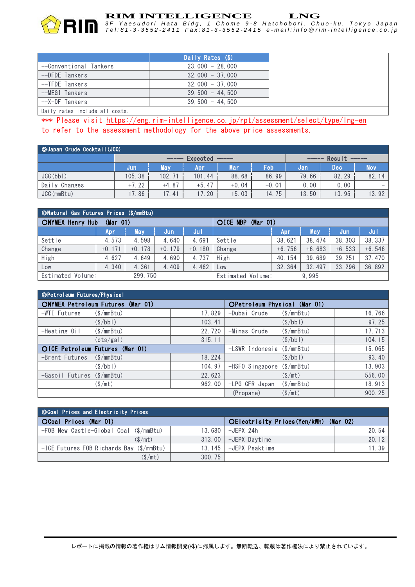

*3 F Y a e s u d o r i H a t a B l d g , 1 C h o m e 9 - 8 H a t c h o b o r i , C h u o - k u , T o k y o J a p a n* Tel:81-3-3552-2411 Fax:81-3-3552-2415 e-mail:info @rim-intelligence.co.jp

|                        | Daily Rates (\$)  |
|------------------------|-------------------|
| --Conventional Tankers | $23.000 - 28.000$ |
| --DFDE Tankers         | $32.000 - 37.000$ |
| --TFDE Tankers         | $32.000 - 37.000$ |
| --MEGI Tankers         | $39.500 - 44.500$ |
| --X-DF Tankers         | $39.500 - 44.500$ |
|                        |                   |

Daily rates include all costs.

\*\*\* Please visit https://eng.rim-intelligence.co.jp/rpt/assessment/select/type/Ing-en to refer to the assessment methodology for the above price assessments.

| <b>OJapan Crude Cocktail (JCC)</b> |                                                                                                                                                                                                                                                                                                                                                                                                                                                                                                                                                                                                                                                                                                                                                                                                                                                                                                                                     |            |         |         |         |       |        |        |  |
|------------------------------------|-------------------------------------------------------------------------------------------------------------------------------------------------------------------------------------------------------------------------------------------------------------------------------------------------------------------------------------------------------------------------------------------------------------------------------------------------------------------------------------------------------------------------------------------------------------------------------------------------------------------------------------------------------------------------------------------------------------------------------------------------------------------------------------------------------------------------------------------------------------------------------------------------------------------------------------|------------|---------|---------|---------|-------|--------|--------|--|
|                                    | Expected<br>$\begin{tabular}{ccccccccc} \multicolumn{2}{c }{\textbf{1} & \textbf{2} & \textbf{3} & \textbf{4} & \textbf{5} & \textbf{5} & \textbf{6} & \textbf{6} & \textbf{7} & \textbf{8} & \textbf{8} & \textbf{9} & \textbf{10} & \textbf{10} & \textbf{10} & \textbf{10} & \textbf{10} & \textbf{10} & \textbf{10} & \textbf{10} & \textbf{10} & \textbf{10} & \textbf{10} & \textbf{10} & \textbf{10} & \textbf{10} & \textbf{$<br>$\qquad \qquad \qquad -\qquad \qquad -\qquad \qquad -\qquad \qquad -\qquad \qquad -\qquad \qquad -\qquad \qquad -\qquad \qquad -\qquad \qquad -\qquad \qquad -\qquad \qquad -\qquad \qquad -\qquad \qquad -\qquad \qquad -\qquad \qquad -\qquad \qquad -\qquad \qquad -\qquad \qquad -\qquad \qquad -\qquad \qquad -\qquad \qquad -\qquad \qquad -\qquad \qquad -\qquad \qquad -\qquad \qquad -\qquad \qquad -\qquad \qquad -\qquad \qquad -\qquad \qquad -\qquad \qquad -\qquad \qquad -$ |            |         |         |         | _____ | Result | ______ |  |
|                                    | Jun                                                                                                                                                                                                                                                                                                                                                                                                                                                                                                                                                                                                                                                                                                                                                                                                                                                                                                                                 | <b>May</b> | Apr     | Mar     | Feb     | Jan   | Dec    | (Nov   |  |
| JCC(bbl)                           | 105.38                                                                                                                                                                                                                                                                                                                                                                                                                                                                                                                                                                                                                                                                                                                                                                                                                                                                                                                              | 102.71     | 101.44  | 88.68   | 86.99   | 79.66 | 82.29  | 82.14  |  |
| Daily Changes                      | $+7.22$                                                                                                                                                                                                                                                                                                                                                                                                                                                                                                                                                                                                                                                                                                                                                                                                                                                                                                                             | $+4.87$    | $+5.47$ | $+0.04$ | $-0.01$ | 0.00  | 0.00   |        |  |
| JCC (mmBtu)                        | 17.86                                                                                                                                                                                                                                                                                                                                                                                                                                                                                                                                                                                                                                                                                                                                                                                                                                                                                                                               | 17.41      | .20     | 15.03   | 14.75   | 13.50 | 13.95  | 13.92  |  |

| ONatural Gas Futures Prices (\$/mmBtu) |          |          |          |                      |                   |             |          |          |          |
|----------------------------------------|----------|----------|----------|----------------------|-------------------|-------------|----------|----------|----------|
| <b>ONYMEX Henry Hub</b><br>(Mar 01)    |          |          |          | OICE NBP<br>(Mar 01) |                   |             |          |          |          |
|                                        | Apr      | May      | Jun      | Jul                  |                   | <b>Apri</b> | May      | Jun      | Jul      |
| Settle                                 | 4.573    | 4.598    | 4.640    | 4.691                | Settle            | 38.621      | 38, 474  | 38, 303  | 38.337   |
| Change                                 | $+0.171$ | $+0.178$ | $+0.179$ | $+0.180$             | Change            | $+6.756$    | $+6.683$ | $+6.533$ | $+6.546$ |
| High                                   | 4.627    | 4.649    | 4.690    | 4.737                | High              | 40.154      | 39.689   | 39.251   | 37.470   |
| Low                                    | 4.340    | 4.361    | 4.409    | 4.462                | Low               | 32.364      | 32.497   | 33.296   | 36.892   |
| Estimated Volume:                      |          | 299.750  |          |                      | Estimated Volume: |             | 9.995    |          |          |

| ©Petroleum Futures/Physical |                                          |         |                                        |                       |        |
|-----------------------------|------------------------------------------|---------|----------------------------------------|-----------------------|--------|
|                             | <b>ONYMEX Petroleum Futures (Mar 01)</b> |         | OPetroleum Physical (Mar 01)           |                       |        |
| -WTI Futures                | $(\$/\text{mmBtu})$                      | 17.829  | -Dubai Crude                           | $(\$/mmBtu)$          | 16.766 |
|                             | $(\frac{\sqrt{}}{2})$                    | 103.41  |                                        | $(\frac{\sqrt{}}{2})$ | 97.25  |
| -Heating Oil                | $(\$/\text{mmBtu})$                      | 22, 720 | -Minas Crude                           | $(\$/mmBtu)$          | 17.713 |
|                             | (cts/gal)                                | 315.11  |                                        | $(\frac{\sqrt{}}{2})$ | 104.15 |
|                             | OICE Petroleum Futures (Mar 01)          |         | $-LSWR$ Indonesia ( $\sqrt{s}/mmBtu$ ) |                       | 15.065 |
| -Brent Futures              | $(S/\text{mmBtu})$                       | 18.224  |                                        | (S/bb)                | 93.40  |
|                             | (S/bb)                                   | 104.97  | -HSFO Singapore (\$/mmBtu)             |                       | 13.903 |
| -Gasoil Futures (\$/mmBtu)  |                                          | 22.623  |                                        | (S/mt)                | 556.00 |
|                             | $(\$/mt)$                                | 962.00  | -LPG CFR Japan                         | (S/mmBtu)             | 18.913 |
|                             |                                          |         | (Propane)                              | $(\$/mt)$             | 900.25 |

| <b>OCoal Prices and Electricity Prices</b> |        |                                        |       |  |  |  |  |  |
|--------------------------------------------|--------|----------------------------------------|-------|--|--|--|--|--|
| OCoal Prices (Mar 01)                      |        | OElectricity Prices (Yen/kWh) (Mar 02) |       |  |  |  |  |  |
| -FOB New Castle-Global Coal (\$/mmBtu)     | 13.680 | -JFPX 24h                              | 20.54 |  |  |  |  |  |
| (S/mt)                                     | 313.00 | -JEPX Davtime                          | 20.12 |  |  |  |  |  |
| -ICE Futures FOB Richards Bay (\$/mmBtu)   | 13.145 | -JEPX Peaktime                         | 11.39 |  |  |  |  |  |
| $(\$/mt)$                                  | 300.75 |                                        |       |  |  |  |  |  |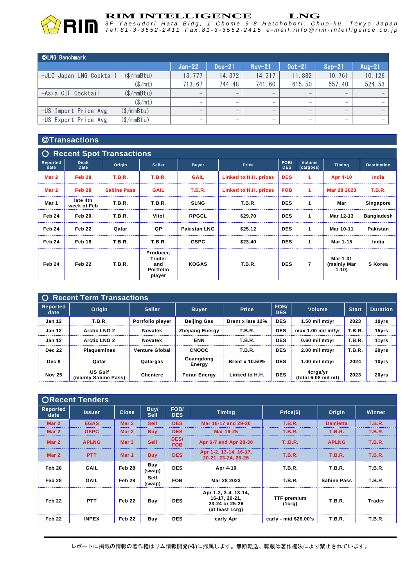

**RIM INTELLIGENCE LNG**<br>3F Yaesudori Hata Bldg, 1 Chome 9-8 Hatchobori, Chuo-ku, Tokyo Japar Tel:81-3-3552-2411 Fax:81-3-3552-2415 e-mail:info @rim-intelligence.co.jp

| ©LNG Benchmark          |            |                          |                                 |                          |                              |                                 |          |
|-------------------------|------------|--------------------------|---------------------------------|--------------------------|------------------------------|---------------------------------|----------|
|                         |            | $Jan-22$                 | $Dec-21$                        | $Nov-21$                 | $0$ ct- $21$                 | $Sep-21$                        | $Aug-21$ |
| -JLC Japan LNG Cocktail | (S/mmBtu)  | 13.777                   | 14.372                          | 14.317                   | 11.882                       | 10.761                          | 10.126   |
|                         | (\$/mt)    | 713.67                   | 744.48                          | 741.60                   | 615.50                       | 557.40                          | 524.53   |
| -Asia CIF Cocktail      | (\$/mmBtu) | $\overline{\phantom{m}}$ | $\qquad \qquad$                 | $\overline{\phantom{m}}$ |                              |                                 |          |
|                         | (\$/mt)    | $\overline{\phantom{m}}$ |                                 | $\qquad \qquad$          | $\qquad \qquad \blacksquare$ |                                 |          |
| -US Import Price Avg    | (\$/mmBtu) | $\overline{\phantom{m}}$ | $\hspace{0.1mm}-\hspace{0.1mm}$ |                          | $\overline{\phantom{m}}$     | $\hspace{0.1mm}-\hspace{0.1mm}$ |          |
| -US Export Price Avg    | (\$/mmBtu) |                          | -                               | $\overline{\phantom{0}}$ |                              |                                 |          |

# ◎**Transactions**

| $\overline{O}$   | <b>Recent Spot Transactions</b> |                    |                                                   |                     |                       |                    |                     |                                   |                    |
|------------------|---------------------------------|--------------------|---------------------------------------------------|---------------------|-----------------------|--------------------|---------------------|-----------------------------------|--------------------|
| Reported<br>date | <b>Dealt</b><br>Date            | Origin             | <b>Seller</b>                                     | <b>Buyer</b>        | <b>Price</b>          | FOB/<br><b>DES</b> | Volume<br>(cargoes) | <b>Timing</b>                     | <b>Destination</b> |
| Mar 2            | Feb 28                          | <b>T.B.R.</b>      | <b>T.B.R.</b>                                     | <b>GAIL</b>         | Linked to H.H. prices | <b>DES</b>         | 1                   | Apr 4-10                          | India              |
| Mar 2            | <b>Feb 28</b>                   | <b>Sabine Pass</b> | <b>GAIL</b>                                       | <b>T.B.R.</b>       | Linked to H.H. prices | <b>FOB</b>         | 1                   | Mar 28 2023                       | <b>T.B.R.</b>      |
| Mar 1            | late 4th<br>week of Feb         | <b>T.B.R.</b>      | <b>T.B.R.</b>                                     | <b>SLNG</b>         | <b>T.B.R.</b>         | <b>DES</b>         | 1                   | Mar                               | Singapore          |
| Feb 24           | Feb 20                          | <b>T.B.R.</b>      | Vitol                                             | <b>RPGCL</b>        | \$29.70               | <b>DES</b>         | $\mathbf{1}$        | Mar 12-13                         | <b>Bangladesh</b>  |
| Feb 24           | Feb 22                          | Qatar              | QP                                                | <b>Pakistan LNG</b> | \$25.12               | <b>DES</b>         | $\mathbf{1}$        | Mar 10-11                         | <b>Pakistan</b>    |
| Feb 24           | Feb 18                          | <b>T.B.R.</b>      | <b>T.B.R.</b>                                     | <b>GSPC</b>         | \$23.40               | <b>DES</b>         | 1                   | Mar 1-15                          | India              |
| Feb 24           | Feb 22                          | <b>T.B.R.</b>      | Producer,<br>Trader<br>and<br>Portfolio<br>player | <b>KOGAS</b>        | <b>T.B.R.</b>         | <b>DES</b>         | $\overline{7}$      | Mar 1-31<br>(mainly Mar<br>$1-10$ | S Korea            |

| <b>O</b> Recent Term Transactions |                                        |                       |                        |                       |                    |                                 |               |                 |  |
|-----------------------------------|----------------------------------------|-----------------------|------------------------|-----------------------|--------------------|---------------------------------|---------------|-----------------|--|
| <b>Reported</b><br>date           | Origin                                 | <b>Seller</b>         | <b>Buyer</b>           | <b>Price</b>          | FOB/<br><b>DES</b> | <b>Volume</b>                   | <b>Start</b>  | <b>Duration</b> |  |
| <b>Jan 12</b>                     | T.B.R.                                 | Portfolio player      | <b>Beijing Gas</b>     | Brent x late 12%      | <b>DES</b>         | $1.50$ mil mt/yr                | 2023          | 10yrs           |  |
| <b>Jan 12</b>                     | <b>Arctic LNG 2</b>                    | Novatek               | <b>Zhejiang Energy</b> | <b>T.B.R.</b>         | <b>DES</b>         | max 1.00 mil mt/vr              | <b>T.B.R.</b> | 15yrs           |  |
| <b>Jan 12</b>                     | <b>Arctic LNG 2</b>                    | <b>Novatek</b>        | <b>ENN</b>             | T.B.R.                | <b>DES</b>         | $0.60$ mil mt/vr                | <b>T.B.R.</b> | 11yrs           |  |
| <b>Dec 22</b>                     | <b>Plaquemines</b>                     | <b>Venture Global</b> | <b>CNOOC</b>           | <b>T.B.R.</b>         | <b>DES</b>         | $2.00$ mil mt/vr                | <b>T.B.R.</b> | 20yrs           |  |
| Dec 8                             | Qatar                                  | Qatargas              | Guangdong<br>Energy    | <b>Brent x 10.50%</b> | <b>DES</b>         | 1.00 mil mt/yr                  | 2024          | 10yrs           |  |
| <b>Nov 25</b>                     | <b>US Gulf</b><br>(mainly Sabine Pass) | <b>Cheniere</b>       | <b>Foran Energy</b>    | Linked to H.H.        | <b>DES</b>         | 4crgs/yr<br>(total 6.08 mil mt) | 2023          | 20yrs           |  |

|                  | <b>ORecent Tenders</b> |                  |                            |                    |                                                                            |                              |                    |               |
|------------------|------------------------|------------------|----------------------------|--------------------|----------------------------------------------------------------------------|------------------------------|--------------------|---------------|
| Reported<br>date | <b>Issuer</b>          | <b>Close</b>     | <b>Buy/</b><br><b>Sell</b> | FOB/<br><b>DES</b> | <b>Timing</b>                                                              | Price(\$)                    | Origin             | Winner        |
| Mar 2            | <b>EGAS</b>            | Mar <sub>3</sub> | <b>Sell</b>                | <b>DES</b>         | Mar 16-17 and 29-30                                                        | <b>T.B.R.</b>                | <b>Damietta</b>    | <b>T.B.R.</b> |
| Mar 2            | <b>GSPC</b>            | Mar 2            | <b>Buy</b>                 | <b>DES</b>         | Mar 19-25                                                                  | <b>T.B.R.</b>                | <b>T.B.R.</b>      | <b>T.B.R.</b> |
| Mar 2            | <b>APLNG</b>           | Mar <sub>3</sub> | <b>Sell</b>                | DES/<br><b>FOB</b> | Apr 6-7 and Apr 28-30                                                      | T.B.R.                       | <b>APLNG</b>       | <b>T.B.R.</b> |
| Mar 2            | <b>PTT</b>             | Mar 1            | <b>Buy</b>                 | <b>DES</b>         | Apr 1-2, 13-14, 16-17,<br>20-21, 23-24, 25-26                              | <b>T.B.R.</b>                | <b>T.B.R.</b>      | <b>T.B.R.</b> |
| Feb 28           | <b>GAIL</b>            | Feb 28           | Buy<br>(swap)              | <b>DES</b>         | Apr 4-10                                                                   | <b>T.B.R.</b>                | <b>T.B.R.</b>      | T.B.R.        |
| Feb 28           | <b>GAIL</b>            | Feb 28           | Sell<br>(swap)             | <b>FOB</b>         | Mar 28 2023                                                                | <b>T.B.R.</b>                | <b>Sabine Pass</b> | <b>T.B.R.</b> |
| Feb 22           | <b>PTT</b>             | Feb 22           | Buy                        | <b>DES</b>         | Apr 1-2, 3-4, 13-14,<br>16-17, 20-21,<br>23-24 or 25-26<br>(at least 1crg) | <b>TTF</b> premium<br>(1crg) | <b>T.B.R.</b>      | <b>Trader</b> |
| Feb 22           | <b>INPEX</b>           | Feb 22           | Buy                        | <b>DES</b>         | early Apr                                                                  | early - mid \$26.00's        | <b>T.B.R.</b>      | <b>T.B.R.</b> |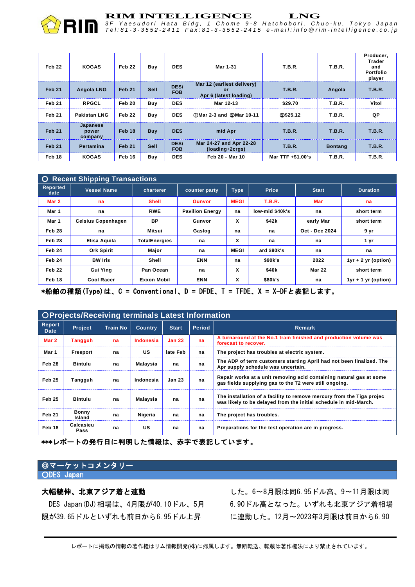

*3 F Y a e s u d o r i H a t a B l d g , 1 C h o m e 9 - 8 H a t c h o b o r i , C h u o - k u , T o k y o J a p a n* Tel:81-3-3552-2411 Fax:81-3-3552-2415 e-mail:info @rim-intelligence.co.jp

| Feb <sub>22</sub> | <b>KOGAS</b>                 | Feb <sub>22</sub> | Buy         | <b>DES</b>         | Mar 1-31                                                          | <b>T.B.R.</b>     | <b>T.B.R.</b>  | Producer,<br><b>Trader</b><br>and<br>Portfolio<br>player |
|-------------------|------------------------------|-------------------|-------------|--------------------|-------------------------------------------------------------------|-------------------|----------------|----------------------------------------------------------|
| Feb <sub>21</sub> | <b>Angola LNG</b>            | Feb 21            | <b>Sell</b> | DES/<br><b>FOB</b> | Mar 12 (earliest delivery)<br><b>or</b><br>Apr 6 (latest loading) | T.B.R.            | Angola         | T.B.R.                                                   |
| Feb 21            | <b>RPGCL</b>                 | Feb 20            | <b>Buv</b>  | <b>DES</b>         | Mar 12-13                                                         | \$29.70           | <b>T.B.R.</b>  | Vitol                                                    |
| Feb 21            | <b>Pakistan LNG</b>          | Feb 22            | Buv         | <b>DES</b>         | 10-11 (1) Mar 2-3 and (2) Mar 10-11                               | 20\$25.12         | <b>T.B.R.</b>  | QP                                                       |
| <b>Feb 21</b>     | Japanese<br>power<br>company | Feb 18            | <b>Buy</b>  | <b>DES</b>         | mid Apr                                                           | <b>T.B.R.</b>     | T.B.R.         | T.B.R.                                                   |
| <b>Feb 21</b>     | Pertamina                    | Feb 21            | <b>Sell</b> | DES/<br><b>FOB</b> | Mar 24-27 and Apr 22-28<br>(loading 2crgs)                        | T.B.R.            | <b>Bontang</b> | T.B.R.                                                   |
| Feb 18            | <b>KOGAS</b>                 | Feb 16            | Buy         | <b>DES</b>         | Feb 20 - Mar 10                                                   | Mar TTF +\$1.00's | <b>T.B.R.</b>  | <b>T.B.R.</b>                                            |

| <b>Recent Shipping Transactions</b><br>$\circ$ |                           |                      |                        |             |                   |                |                       |  |
|------------------------------------------------|---------------------------|----------------------|------------------------|-------------|-------------------|----------------|-----------------------|--|
| <b>Reported</b><br>date                        | <b>Vessel Name</b>        | charterer            | counter party          | <b>Type</b> | <b>Price</b>      | <b>Start</b>   | <b>Duration</b>       |  |
| Mar 2                                          | na                        | <b>Shell</b>         | <b>Gunvor</b>          | <b>MEGI</b> | <b>T.B.R.</b>     | Mar            | na                    |  |
| Mar 1                                          | na                        | <b>RWE</b>           | <b>Pavilion Energy</b> | na          | low-mid \$40k's   | na             | short term            |  |
| Mar 1                                          | <b>Celsius Copenhagen</b> | BP                   | Gunvor                 | X           | \$42k             | early Mar      | short term            |  |
| Feb 28                                         | na                        | Mitsui               | Gaslog                 | na          | na                | Oct - Dec 2024 | 9 yr                  |  |
| Feb 28                                         | Elisa Aquila              | <b>TotalEnergies</b> | na                     | X           | na                | na             | 1 yr                  |  |
| Feb 24                                         | <b>Ork Spirit</b>         | Major                | na                     | <b>MEGI</b> | ard \$90k's       | na             | na                    |  |
| Feb 24                                         | <b>BW</b> Iris            | Shell                | <b>ENN</b>             | na          | \$90k's           | 2022           | $1yr + 2 yr$ (option) |  |
| Feb <sub>22</sub>                              | <b>Gui Ying</b>           | Pan Ocean            | na                     | X           | \$40 <sub>k</sub> | <b>Mar 22</b>  | short term            |  |
| Feb 18                                         | <b>Cool Racer</b>         | Exxon Mobil          | <b>ENN</b>             | X           | \$80k's           | na             | $1yr + 1 yr$ (option) |  |

\*船舶の種類(Type)は、C = Conventional、D = DFDE、T = TFDE、X = X-DFと表記します。

| <b>OProjects/Receiving terminals Latest Information</b> |                        |                 |                |               |               |                                                                                                                                           |  |  |
|---------------------------------------------------------|------------------------|-----------------|----------------|---------------|---------------|-------------------------------------------------------------------------------------------------------------------------------------------|--|--|
| <b>Report</b><br><b>Date</b>                            | <b>Project</b>         | <b>Train No</b> | <b>Country</b> | <b>Start</b>  | <b>Period</b> | <b>Remark</b>                                                                                                                             |  |  |
| Mar 2                                                   | Tangguh                | na              | Indonesia      | <b>Jan 23</b> | na            | A turnaround at the No.1 train finished and production volume was<br>forecast to recover.                                                 |  |  |
| Mar 1                                                   | Freeport               | na              | US             | late Feb      | na            | The project has troubles at electric system.                                                                                              |  |  |
| Feb 28                                                  | Bintulu                | na              | Malaysia       | na            | na            | The ADP of term customers starting April had not been finalized. The<br>Apr supply schedule was uncertain.                                |  |  |
| Feb 25                                                  | Tangguh                | na              | Indonesia      | <b>Jan 23</b> | na            | Repair works at a unit removing acid containing natural gas at some<br>gas fields supplying gas to the T2 were still ongoing.             |  |  |
| Feb 25                                                  | Bintulu                | na              | Malaysia       | na            | na            | The installation of a facility to remove mercury from the Tiga projec<br>was likely to be delayed from the initial schedule in mid-March. |  |  |
| <b>Feb 21</b>                                           | <b>Bonny</b><br>Island | na              | Nigeria        | na            | na            | The project has troubles.                                                                                                                 |  |  |
| Feb 18                                                  | Calcasieu<br>Pass      | na              | US             | na            | na            | Preparations for the test operation are in progress.                                                                                      |  |  |

\*\*\*レポートの発行日に判明した情報は、赤字で表記しています。

### ◎マーケットコメンタリー ODES Japan

# 大幅続伸、北東アジア着と連動

DES Japan(DJ)相場は、4月限が40.10ドル、5月 限が39.65ドルといずれも前日から6.95ドル上昇

した。6~8月限は同6.95ドル高、9~11月限は同 6.90ドル高となった。いずれも北東アジア着相場 に連動した。12月~2023年3月限は前日から6.90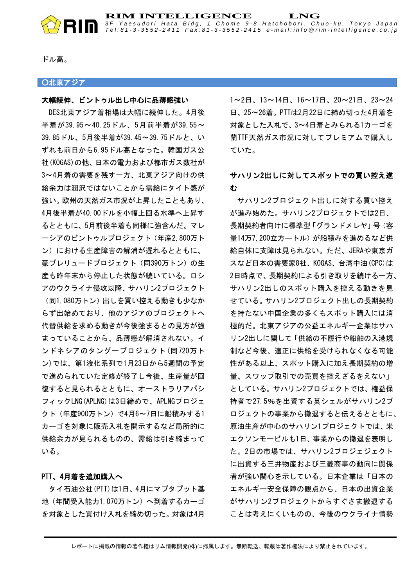

**RIM INTELLIGENCE LNG** *3 F Y a e s u d o r i H a t a B l d g , 1 C h o m e 9 - 8 H a t c h o b o r i , C h u o - k u , T o k y o J a p a n* Tel:81-3-3552-2411 Fax:81-3-3552-2415 e-mail:info @rim-intelligence.co.jp

ドル高。

### ■○北東アジア

### 大幅続伸、ビントゥル出し中心に品薄感強い

DES北東アジア着相場は大幅に続伸した。4月後 半着が39.95~40.25ドル、5月前半着が39.55~ 39.85ドル、5月後半着が39.45~39.75ドルと、い ずれも前日から6.95ドル高となった。韓国ガス公 社(KOGAS)の他、日本の電力および都市ガス数社が 3~4月着の需要を残す一方、北東アジア向けの供 給余力は潤沢ではないことから需給にタイト感が 強い。欧州の天然ガス市況が上昇したこともあり、 4月後半着が40.00ドルを小幅上回る水準へ上昇す るとともに、5月前後半着も同様に強含んだ。マレ ーシアのビントゥルプロジェクト(年産2,800万ト ン)における生産障害の解消が遅れるとともに、 豪プレリュードプロジェクト(同390万トン)の生 産も昨年末から停止した状態が続いている。ロシ アのウクライナ侵攻以降、サハリン2プロジェクト (同1,080万トン)出しを買い控える動きも少なか らず出始めており、他のアジアのプロジェクトへ

代替供給を求める動きが今後強まるとの見方が強 まっていることから、品薄感が解消されない。イ ンドネシアのタングープロジェクト(同720万ト ン)では、第1液化系列で1月23日から5週間の予定 で進められていた定修が終了し今後、生産量が回 復すると見られるとともに、オーストラリアパシ フィックLNG(APLNG)は3日締めで、APLNGプロジェ クト(年産900万トン)で4月6~7日に船積みする1 カーゴを対象に販売入札を開示するなど局所的に 供給余力が見られるものの、需給は引き締まって いる。

### PTT、4月着を追加購入へ

タイ石油公社(PTT)は1日、4月にマプタプット基 地(年間受入能力1,070万トン)へ到着するカーゴ を対象とした買付け入札を締め切った。対象は4月

1~2日、13~14日、16~17日、20~21日、23~24 日、25~26着。PTTは2月22日に締め切った4月着を 対象とした入札で、3~4日着とみられる1カーゴを 蘭TTF天然ガス市況に対してプレミアムで購入し ていた。

# サハリン2出しに対してスポットでの買い控え進 む

サハリン2プロジェクト出しに対する買い控え が進み始めた。サハリン2プロジェクトでは2日、 長期契約者向けに標準型「グランドメレヤ」号(容 量14万7,200立方―トル)が船積みを進めるなど供 給自体に支障は見られない。ただ、JERAや東京ガ スなど日本の需要家8社、KOGAS、台湾中油(CPC)は 2日時点で、長期契約による引き取りを続ける一方、 サハリン2出しのスポット購入を控える動きを見 せている。サハリン2プロジェクト出しの長期契約 を持たない中国企業の多くもスポット購入には消 極的だ。北東アジアの公益エネルギー企業はサハ リン2出しに関して「供給の不履行や船舶の入港規 制など今後、適正に供給を受けられなくなる可能 性がある以上、スポット購入に加え長期契約の増 量、スワップ取引での売買を控えざるをえない」 としている。サハリン2プロジェクトでは、権益保 持者で27.5%を出資する英シェルがサハリン2プ ロジェクトの事業から撤退すると伝えるとともに、 原油生産が中心のサハリン1プロジェクトでは、米 エクソンモービルも1日、事業からの撤退を表明し た。2日の市場では、サハリン2プロジェジェクト に出資する三井物産および三菱商事の動向に関係 者が強い関心を示している。日本企業は「日本の エネルギー安全保障の観点から、日本の出資企業 がサハリン2プロジェクトからすぐさま撤退する ことは考えにくいものの、今後のウクライナ情勢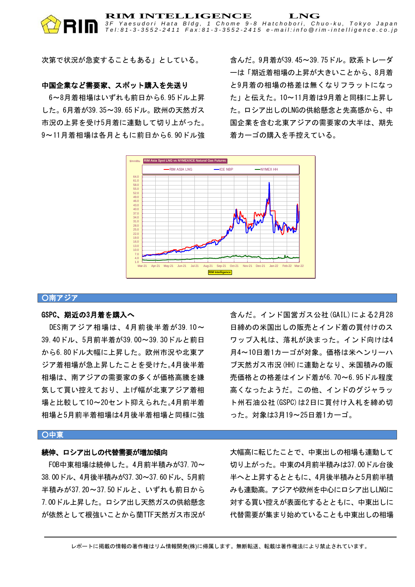### **RIM INTELLIGENCE LNG** *3 F Y a e s u d o r i H a t a B l d g , 1 C h o m e 9 - 8 H a t c h o b o r i , C h u o - k u , T o k y o J a p a n* Tel:81-3-3552-2411 Fax:81-3-3552-2415 e-mail:info @rim-intelligence.co.jp

次第で状況が急変することもある」としている。

### 中国企業など需要家、スポット購入を先送り

6~8月着相場はいずれも前日から6.95ドル上昇 した。6月着が39.35~39.65ドル。欧州の天然ガス 市況の上昇を受け5月着に連動して切り上がった。 9~11月着相場は各月ともに前日から6.90ドル強 含んだ。9月着が39.45~39.75ドル。欧系トレーダ ーは「期近着相場の上昇が大きいことから、8月着 と9月着の相場の格差は無くなりフラットになっ た」と伝えた。10~11月着は9月着と同様に上昇し た。ロシア出しのLNGの供給懸念と先高感から、中 国企業を含む北東アジアの需要家の大半は、期先 着カーゴの購入を手控えている。



### ○南アジア

### GSPC、期近の3月着を購入へ

DES南アジア相場は、4月前後半着が39.10~ 39.40ドル、5月前半着が39.00~39.30ドルと前日 から6.80ドル大幅に上昇した。欧州市況や北東ア ジア着相場が急上昇したことを受けた。4月後半着 相場は、南アジアの需要家の多くが価格高騰を嫌 気して買い控えており、上げ幅が北東アジア着相 場と比較して10~20セント抑えられた。4月前半着 相場と5月前半着相場は4月後半着相場と同様に強

# 含んだ。インド国営ガス公社(GAIL)による2月28 日締めの米国出しの販売とインド着の買付けのス ワップ入札は、落札が決まった。インド向けは4 月4~10日着1カーゴが対象。価格は米ヘンリーハ ブ天然ガス市況(HH)に連動となり、米国積みの販 売価格との格差はインド着が6.70~6.95ドル程度 高くなったようだ。この他、インドのグジャラッ ト州石油公社 (GSPC) は2日に買付け入札を締め切 った。対象は3月19~25日着1カーゴ。

### ○中東

### 続伸、ロシア出しの代替需要が増加傾向

FOB中東相場は続伸した。4月前半積みが37.70~ 38.00ドル、4月後半積みが37.30~37.60ドル、5月前 半積みが37.20~37.50ドルと、いずれも前日から 7.00ドル上昇した。ロシア出し天然ガスの供給懸念 が依然として根強いことから蘭TTF天然ガス市況が 大幅高に転じたことで、中東出しの相場も連動して 切り上がった。中東の4月前半積みは37.00ドル台後 半へと上昇するとともに、4月後半積みと5月前半積 みも連動高。アジアや欧州を中心にロシア出しLNGに 対する買い控えが表面化するとともに、中東出しに 代替需要が集まり始めていることも中東出しの相場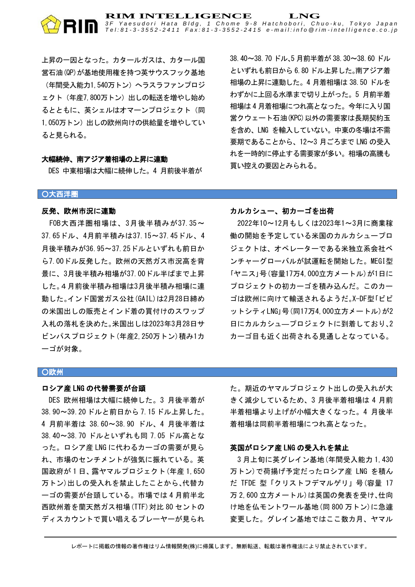

上昇の一因となった。カタールガスは、カタール国 営石油(QP)が基地使用権を持つ英サウスフック基地 (年間受入能力1,540万トン)へラスラファンプロジ ェクト(年産7,800万トン)出しの転送を増やし始め るとともに、英シェルはオマーンプロジェクト(同 1.050万トン)出しの欧州向けの供給量を増やしてい ると見られる。

### 大幅続伸、南アジア着相場の上昇に連動

DES 中東相場は大幅に続伸した。4 月前後半着が

38.40~38.70 ドル、5 月前半着が 38.30~38.60 ドル といずれも前日から 6.80 ドル上昇した。南アジア着 相場の上昇に連動した。4 月着相場は 38.50 ドルを わずかに上回る水準まで切り上がった。5 月前半着 相場は 4 月着相場につれ高となった。今年に入り国 営クウェート石油(KPC)以外の需要家は長期契約玉 を含め、LNG を輸入していない。中東の冬場は不需 要期であることから、12~3 月ごろまで LNG の受入 れを一時的に停止する需要家が多い。相場の高騰も 買い控えの要因とみられる。

### ○大西洋圏

### 反発、欧州市況に連動

FOB大西洋圏相場は、3月後半積みが37.35~ 37.65ドル、4月前半積みは37.15~37.45ドル、4 月後半積みが36.95~37.25ドルといずれも前日か ら7.00ドル反発した。欧州の天然ガス市況高を背 景に、3月後半積み相場が37.00ドル半ばまで上昇 した。4月前後半積み相場は3月後半積み相場に連 動した。インド国営ガス公社(GAIL)は2月28日締め の米国出しの販売とインド着の買付けのスワップ 入札の落札を決めた。米国出しは2023年3月28日サ ビンパスプロジェクト(年産2,250万トン)積み1カ ーゴが対象。

# カルカシュー、初カーゴを出荷

2022年10~12月もしくは2023年1~3月に商業稼 働の開始を予定している米国のカルカシュープロ ジェクトは、オペレーターである米独立系会社ベ ンチャーグローバルが試運転を開始した。MEGI型 「ヤニス」号(容量17万4,000立方メートル)が1日に プロジェクトの初カーゴを積み込んだ。このカー ゴは欧州に向けて輸送されるようだ。X-DF型「ビビ ットシティLNG」号(同17万4,000立方メートル)が2 日にカルカシュ―プロジェクトに到着しており、2 カーゴ目も近く出荷される見通しとなっている。

### ○欧州

### ロシア産 LNG の代替需要が台頭

DES 欧州相場は大幅に続伸した。3 月後半着が 38.90~39.20 ドルと前日から 7.15 ドル上昇した。 4 月前半着は 38.60~38.90 ドル、4 月後半着は 38.40~38.70 ドルといずれも同 7.05 ドル高とな った。ロシア産 LNG に代わるカーゴの需要が見ら れ、市場のセンチメントが強気に振れている。英 国政府が 1 日、露ヤマルプロジェクト(年産 1,650 万トン)出しの受入れを禁止したことから、代替カ ーゴの需要が台頭している。市場では 4 月前半北 西欧州着を蘭天然ガス相場(TTF)対比 80 セントの ディスカウントで買い唱えるプレーヤーが見られ

た。期近のヤマルプロジェクト出しの受入れが大 きく減少しているため、3 月後半着相場は 4 月前 半着相場より上げが小幅大きくなった。4 月後半 着相場は同前半着相場につれ高となった。

### 英国がロシア産 LNG の受入れを禁止

3 月上旬に英グレイン基地(年間受入能力 1,430 万トン)で荷揚げ予定だったロシア産 LNG を積ん だ TFDE 型「クリストフデマルゲリ」号(容量 17 万 2,600 立方メートル)は英国の発表を受け、仕向 け地を仏モントワール基地(同 800 万トン)に急遽 変更した。グレイン基地ではここ数カ月、ヤマル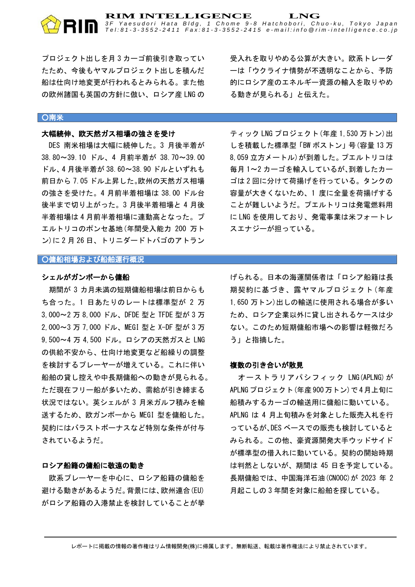*3 F Y a e s u d o r i H a t a B l d g , 1 C h o m e 9 - 8 H a t c h o b o r i , C h u o - k u , T o k y o J a p a n* Tel:81-3-3552-2411 Fax:81-3-3552-2415 e-mail:info @rim-intelligence.co.jp

プロジェクト出しを月 3 カーゴ前後引き取ってい たため、今後もヤマルプロジェクト出しを積んだ 船は仕向け地変更が行われるとみられる。また他 の欧州諸国も英国の方針に倣い、ロシア産 LNG の

### ○南米

### 大幅続伸、欧天然ガス相場の強さを受け

DES 南米相場は大幅に続伸した。3 月後半着が 38.80~39.10 ドル、4 月前半着が 38.70~39.00 ドル、4 月後半着が 38.60~38.90 ドルといずれも 前日から 7.05 ドル上昇した。欧州の天然ガス相場 の強さを受けた。4 月前半着相場は 38.00 ドル台 後半まで切り上がった。3 月後半着相場と 4 月後 半着相場は 4 月前半着相場に連動高となった。プ エルトリコのポンセ基地(年間受入能力 200 万ト ン)に 2 月 26 日、トリニダードトバゴのアトラン

受入れを取りやめる公算が大きい。欧系トレーダ ーは「ウクライナ情勢が不透明なことから、予防 的にロシア産のエネルギー資源の輸入を取りやめ る動きが見られる」と伝えた。

ティック LNG プロジェクト(年産 1,530 万トン)出 しを積載した標準型「BW ボストン」号(容量 13 万 8,059 立方メートル)が到着した。プエルトリコは 毎月 1~2 カーゴを輸入しているが、到着したカー ゴは 2 回に分けて荷揚げを行っている。タンクの 容量が大きくないため、1 度に全量を荷揚げする ことが難しいようだ。プエルトリコは発電燃料用 に LNG を使用しており、発電事業は米フォートレ スエナジーが担っている。

### ○傭船相場および船舶運行概況

### シェルがガンボーから傭船

期間が 3 カ月未満の短期傭船相場は前日からも ち合った。1 日あたりのレートは標準型が 2 万 3,000~2 万 8,000 ドル、DFDE 型と TFDE 型が 3 万 2,000~3 万 7,000 ドル、MEGI 型と X-DF 型が 3 万 9,500~4 万 4,500 ドル。ロシアの天然ガスと LNG の供給不安から、仕向け地変更など船繰りの調整 を検討するプレーヤーが増えている。これに伴い 船舶の貸し控えや中長期傭船への動きが見られる。 ただ現在フリー船が多いため、需給が引き締まる 状況ではない。英シェルが 3 月米ガルフ積みを輸 送するため、欧ガンボーから MEGI 型を傭船した。 契約にはバラストボーナスなど特別な条件が付与 されているようだ。

### ロシア船籍の傭船に敬遠の動き

欧系プレーヤーを中心に、ロシア船籍の傭船を 避ける動きがあるようだ。背景には、欧州連合(EU) がロシア船籍の入港禁止を検討していることが挙

げられる。日本の海運関係者は「ロシア船籍は長 期契約に基づき、露ヤマルプロジェクト(年産 1,650 万トン)出しの輸送に使用される場合が多い ため、ロシア企業以外に貸し出されるケースは少 ない。このため短期傭船市場への影響は軽微だろ う」と指摘した。

### 複数の引き合いが散見

オーストラリアパシフィック LNG(APLNG)が APLNGプロジェクト(年産900万トン)で4月上旬に 船積みするカーゴの輸送用に傭船に動いている。 APLNG は 4 月上旬積みを対象とした販売入札を行 っているが、DES ベースでの販売も検討していると みられる。この他、豪資源開発大手ウッドサイド が標準型の借入れに動いている。契約の開始時期 は判然としないが、期間は 45 日を予定している。 長期傭船では、中国海洋石油(CNOOC)が 2023 年 2 月起こしの 3 年間を対象に船舶を探している。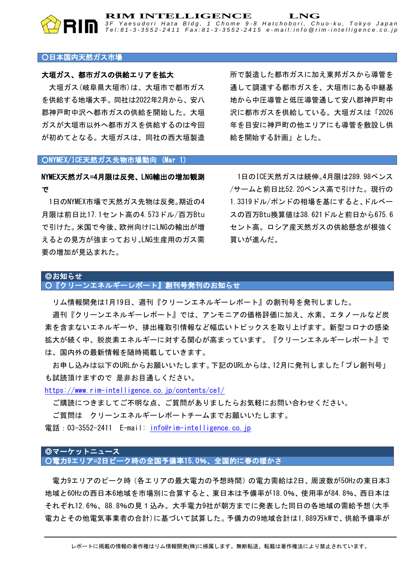### ○日本国内天然ガス市場

### 大垣ガス、都市ガスの供給エリアを拡大

大垣ガス(岐阜県大垣市)は、大垣市で都市ガス を供給する地場大手。同社は2022年2月から、安八 郡神戸町中沢へ都市ガスの供給を開始した。大垣 ガスが大垣市以外へ都市ガスを供給するのは今回 が初めてとなる。大垣ガスは、同社の西大垣製造 所で製造した都市ガスに加え東邦ガスから導管を 通して調達する都市ガスを、大垣市にある中継基 地から中圧導管と低圧導管通して安八郡神戸町中 沢に都市ガスを供給している。大垣ガスは「2026 年を目安に神戸町の他エリアにも導管を敷設し供 給を開始する計画」とした。

### ○NYMEX/ICE天然ガス先物市場動向 (Mar 1)

# NYMEX天然ガス=4月限は反発、LNG輸出の増加観測 で

1日のNYMEX市場で天然ガス先物は反発。期近の4 月限は前日比17.1セント高の4.573ドル/百万Btu で引けた。米国で今後、欧州向けにLNGの輸出が増 えるとの見方が強まっており、LNG生産用のガス需 要の増加が見込まれた。

1日のICE天然ガスは続伸。4月限は289.98ペンス /サームと前日比52.20ペンス高で引けた。現行の 1.3319ドル/ポンドの相場を基にすると、ドルベー スの百万Btu換算値は38.621ドルと前日から675.6 セント高。ロシア産天然ガスの供給懸念が根強く 買いが進んだ。

### ◎お知らせ ○『クリーンエネルギーレポート』創刊号発刊のお知らせ

リム情報開発は1月19日、週刊『クリーンエネルギーレポート』の創刊号を発刊しました。

**RIM INTELLIGENCE LNG**

*3 F Y a e s u d o r i H a t a B l d g , 1 C h o m e 9 - 8 H a t c h o b o r i , C h u o - k u , T o k y o J a p a n* Tel:81-3-3552-2411 Fax:81-3-3552-2415 e-mail:info @rim-intelligence.co.jp

週刊『クリーンエネルギーレポート』では、アンモニアの価格評価に加え、水素、エタノールなど炭 素を含まないエネルギーや、排出権取引情報など幅広いトピックスを取り上げます。新型コロナの感染 拡大が続く中、脱炭素エネルギーに対する関心が高まっています。『クリーンエネルギーレポート』で は、国内外の最新情報を随時掲載していきます。

お申し込みは以下のURLからお願いいたします。下記のURLからは、12月に発刊しました「プレ創刊号」 も試読頂けますので 是非お目通しください。

<https://www.rim-intelligence.co.jp/contents/ce1/>

ご購読につきましてご不明な点、ご質問がありましたらお気軽にお問い合わせください。

ご質問は クリーンエネルギーレポートチームまでお願いいたします。

電話:03-3552-2411 E-mail [info@rim-intelligence.co.jp](mailto:info@rim-intelligence.co.jp)

### ◎マーケットニュース ○電力9エリア=2日ピーク時の全国予備率15.0%、全国的に春の暖かさ

電力9エリアのピーク時(各エリアの最大電力の予想時間)の電力需給は2日、周波数が50Hzの東日本3 地域と60Hzの西日本6地域を市場別に合算すると、東日本は予備率が18.0%、使用率が84.8%、西日本は それぞれ12.6%、88.8%の見1込み。大手電力9社が朝方までに発表した同日の各地域の需給予想(大手 電力とその他電気事業者の合計)に基づいて試算した。予備力の9地域合計は1,889万kWで、供給予備率が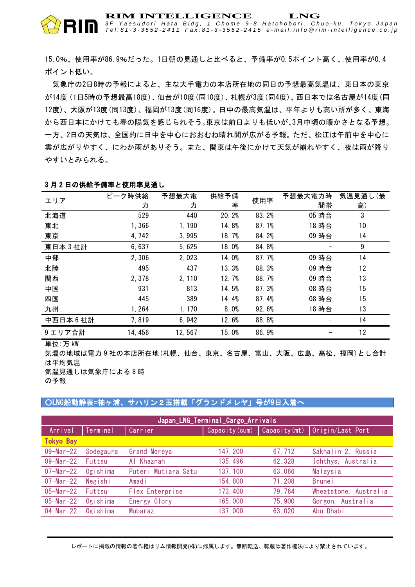*3 F Y a e s u d o r i H a t a B l d g , 1 C h o m e 9 - 8 H a t c h o b o r i , C h u o - k u , T o k y o J a p a n* Tel:81-3-3552-2411 Fax:81-3-3552-2415 e-mail:info @rim-intelligence.co.jp

15.0%、使用率が86.9%だった。1日朝の見通しと比べると、予備率が0.5ポイント高く、使用率が0.4 ポイント低い。

気象庁の2日8時の予報によると、主な大手電力の本店所在地の同日の予想最高気温は、東日本の東京 が14度(1日5時の予想最高18度)、仙台が10度(同10度)、札幌が3度(同4度)、西日本では名古屋が14度(同 12度)、大阪が13度(同13度)、福岡が13度(同16度)。日中の最高気温は、平年よりも高い所が多く、東海 から西日本にかけても春の陽気を感じられそう。東京は前日よりも低いが、3月中頃の暖かさとなる予想。 一方、2日の天気は、全国的に日中を中心におおむね晴れ間が広がる予報。ただ、松江は午前中を中心に 雲が広がりやすく、にわか雨がありそう。また、関東は午後にかけて天気が崩れやすく、夜は雨が降り やすいとみられる。

| エリア       | ピーク時供給<br>力 | 予想最大電<br>力 | 供給予備<br>率 | 使用率   | 予想最大電力時<br>間帯 | 気温見通し(最<br>高) |
|-----------|-------------|------------|-----------|-------|---------------|---------------|
| 北海道       | 529         | 440        | 20.2%     | 83.2% | 05 時台         | 3             |
| 東北        | 1.366       | 1,190      | 14.8%     | 87.1% | 18 時台         | 10            |
| 東京        | 4,742       | 3,995      | 18.7%     | 84.2% | 09 時台         | 14            |
| 東日本3社計    | 6,637       | 5,625      | 18.0%     | 84.8% |               | 9             |
| 中部        | 2,306       | 2,023      | 14.0%     | 87.7% | 09 時台         | 14            |
| 北陸        | 495         | 437        | 13.3%     | 88.3% | 09 時台         | 12            |
| 関西        | 2,378       | 2, 110     | 12.7%     | 88.7% | 09 時台         | 13            |
| 中国        | 931         | 813        | 14.5%     | 87.3% | 08 時台         | 15            |
| 四国        | 445         | 389        | 14.4%     | 87.4% | 08 時台         | 15            |
| 九州        | 1, 264      | 1,170      | 8.0%      | 92.6% | 18 時台         | 13            |
| 中西日本 6 社計 | 7,819       | 6,942      | 12.6%     | 88.8% |               | 14            |
| 9エリア合計    | 14, 456     | 12,567     | 15.0%     | 86.9% |               | 12            |

### 3 月 2 日の供給予備率と使用率見通し

単位:万 kW

気温の地域は電力 9 社の本店所在地(札幌、仙台、東京、名古屋、富山、大阪、広島、髙松、福岡)とし合計 は平均気温

気温見通しは気象庁による 8 時

の予報

### ■ ○LNG船動静表=袖ヶ浦、サハリン2玉搭載「グランドメレヤ」号が9日入着へ

| Japan_LNG_Terminal_Cargo_Arrivals |           |                     |          |         |                                                   |  |  |  |
|-----------------------------------|-----------|---------------------|----------|---------|---------------------------------------------------|--|--|--|
| Arrival                           | Terminal  | Carrier             |          |         | Capacity (cum)   Capacity (mt)   Origin/Last Port |  |  |  |
| <b>Tokyo Bay</b>                  |           |                     |          |         |                                                   |  |  |  |
| $09 - Mar - 22$                   | Sodegaura | Grand Mereya        | 147, 200 | 67, 712 | Sakhalin 2, Russia                                |  |  |  |
| $09 - \text{Mar} - 22$            | Futtsu    | Al Khaznah          | 135, 496 | 62, 328 | Ichthys, Australia                                |  |  |  |
| $07 - Mar - 22$                   | Ogishima  | Puteri Mutiara Satu | 137, 100 | 63,066  | Malaysia                                          |  |  |  |
| $07 - Mar - 22$                   | Negishi   | Amadi               | 154,800  | 71, 208 | <b>Brunei</b>                                     |  |  |  |
| $05 - \text{Mar} - 22$            | Futtsu    | Flex Enterprise     | 173, 400 | 79, 764 | Wheatstone, Australia                             |  |  |  |
| $05 - \text{Mar} - 22$            | Ogishima  | Energy Glory        | 165,000  | 75,900  | Gorgon, Australia                                 |  |  |  |
| $04 - Mar - 22$                   | Ogishima  | Mubaraz             | 137,000  | 63,020  | Abu Dhabi                                         |  |  |  |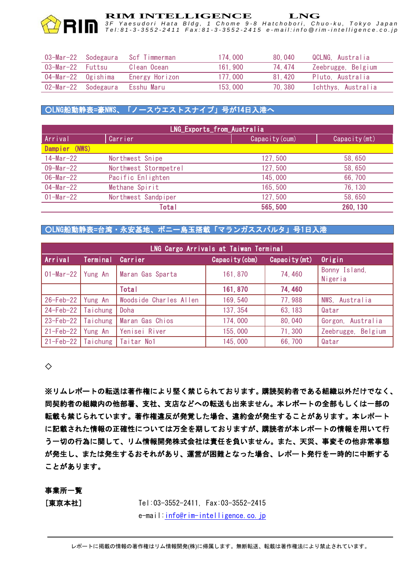*3 F Y a e s u d o r i H a t a B l d g , 1 C h o m e 9 - 8 H a t c h o b o r i , C h u o - k u , T o k y o J a p a n* Tel:81-3-3552-2411 Fax:81-3-3552-2415 e-mail:info @rim-intelligence.co.jp

| 03-Mar-22           | Sodegaura | Scf Timmerman  | 174.000 | 80.040 | QCLNG. Australia   |
|---------------------|-----------|----------------|---------|--------|--------------------|
| 03-Mar-22 Futtsu    |           | Clean Ocean    | 161.900 | 74.474 | Zeebrugge, Belgium |
| 04-Mar-22 Ogishima  |           | Energy Horizon | 177,000 | 81.420 | Pluto, Australia   |
| 02-Mar-22 Sodegaura |           | Esshu Maru     | 153,000 | 70.380 | Ichthys, Australia |

# ○LNG船動静表=豪NWS、「ノースウエストスナイプ」号が14日入港へ

| LNG_Exports_from_Australia |                       |                |               |  |  |  |  |
|----------------------------|-----------------------|----------------|---------------|--|--|--|--|
| Arrival                    | Carrier               | Capacity (cum) | Capacity (mt) |  |  |  |  |
| Dampier (NWS)              |                       |                |               |  |  |  |  |
| $14 - \text{Mar} - 22$     | Northwest Snipe       | 127, 500       | 58,650        |  |  |  |  |
| $09 - \text{Mar} - 22$     | Northwest Stormpetrel | 127, 500       | 58,650        |  |  |  |  |
| $06 - Mar - 22$            | Pacific Enlighten     | 145,000        | 66,700        |  |  |  |  |
| $04-Mar-22$                | Methane Spirit        | 165,500        | 76, 130       |  |  |  |  |
| $01 - \text{Mar} - 22$     | Northwest Sandpiper   | 127, 500       | 58,650        |  |  |  |  |
|                            | Total                 | 565,500        | 260, 130      |  |  |  |  |

# ○LNG船動静表=台湾・永安基地、ボニー島玉搭載「マランガススパルタ」号1日入港

| LNG Cargo Arrivals at Taiwan Terminal |                 |                        |                |               |                          |  |  |  |
|---------------------------------------|-----------------|------------------------|----------------|---------------|--------------------------|--|--|--|
| Arrival                               | <b>Terminal</b> | Carrier                | Capacity (cbm) | Capacity (mt) | Origin                   |  |  |  |
| $01-Mar-22$                           | Yung An         | Maran Gas Sparta       | 161, 870       | 74,460        | Bonny Island,<br>Nigeria |  |  |  |
|                                       |                 | Total                  | 161, 870       | 74,460        |                          |  |  |  |
| 26-Feb-22                             | Yung An         | Woodside Charles Allen | 169, 540       | 77,988        | NWS, Australia           |  |  |  |
| 24-Feb-22                             | Taichung        | Doha                   | 137, 354       | 63, 183       | Qatar                    |  |  |  |
| $23 - Feb - 22$                       | Taichung        | Maran Gas Chios        | 174,000        | 80,040        | Gorgon, Australia        |  |  |  |
| $21 - Feb - 22$                       | Yung An         | Yenisei River          | 155,000        | 71,300        | Zeebrugge, Belgium       |  |  |  |
| $21 - Feb - 22$                       | Taichung        | Taitar No1             | 145,000        | 66,700        | Qatar                    |  |  |  |

◇

※リムレポートの転送は著作権により堅く禁じられております。購読契約者である組織以外だけでなく、 同契約者の組織内の他部署、支社、支店などへの転送も出来ません。本レポートの全部もしくは一部の 転載も禁じられています。著作権違反が発覚した場合、違約金が発生することがあります。本レポート に記載された情報の正確性については万全を期しておりますが、購読者が本レポートの情報を用いて行 う一切の行為に関して、リム情報開発株式会社は責任を負いません。また、天災、事変その他非常事態 が発生し、または発生するおそれがあり、運営が困難となった場合、レポート発行を一時的に中断する ことがあります。

# 事業所一覧

[東京本社] Tel:03-3552-2411, Fax:03-3552-2415 e-mail[:info@rim-intelligence.co.jp](mailto:info@rim-intelligence.co.jp)